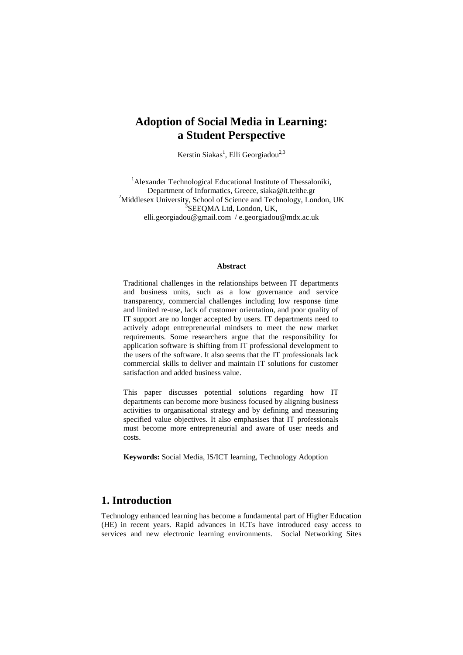# **Adoption of Social Media in Learning: a Student Perspective**

Kerstin Siakas<sup>1</sup>, Elli Georgiadou<sup>2,3</sup>

<sup>1</sup>Alexander Technological Educational Institute of Thessaloniki, Department of Informatics, Greece, siaka@it.teithe.gr <sup>2</sup> <sup>2</sup>Middlesex University, School of Science and Technology, London, UK <sup>3</sup>SEEQMA Ltd, London, UK, elli.georgiadou@gmail.com / e.georgiadou@mdx.ac.uk

#### **Abstract**

Traditional challenges in the relationships between IT departments and business units, such as a low governance and service transparency, commercial challenges including low response time and limited re-use, lack of customer orientation, and poor quality of IT support are no longer accepted by users. IT departments need to actively adopt entrepreneurial mindsets to meet the new market requirements. Some researchers argue that the responsibility for application software is shifting from IT professional development to the users of the software. It also seems that the IT professionals lack commercial skills to deliver and maintain IT solutions for customer satisfaction and added business value.

This paper discusses potential solutions regarding how IT departments can become more business focused by aligning business activities to organisational strategy and by defining and measuring specified value objectives. It also emphasises that IT professionals must become more entrepreneurial and aware of user needs and costs.

**Keywords:** Social Media, IS/ICT learning, Technology Adoption

## **1. Introduction**

Technology enhanced learning has become a fundamental part of Higher Education (HE) in recent years. Rapid advances in ICTs have introduced easy access to services and new electronic learning environments. Social Networking Sites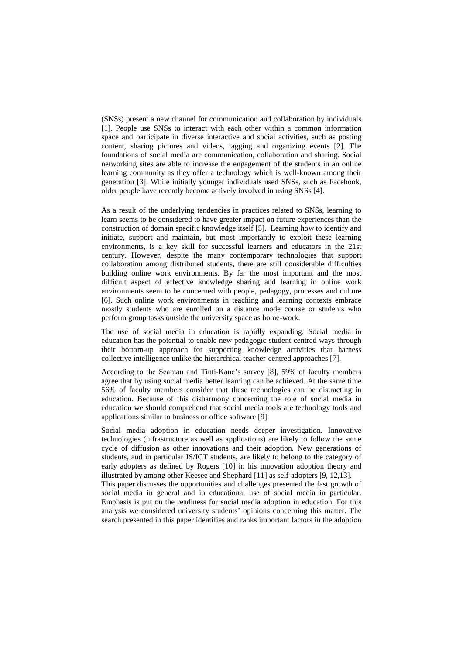(SNSs) present a new channel for communication and collaboration by individuals [1]. People use SNSs to interact with each other within a common information space and participate in diverse interactive and social activities, such as posting content, sharing pictures and videos, tagging and organizing events [2]. The foundations of social media are communication, collaboration and sharing. Social networking sites are able to increase the engagement of the students in an online learning community as they offer a technology which is well-known among their generation [3]. While initially younger individuals used SNSs, such as Facebook, older people have recently become actively involved in using SNSs [4].

As a result of the underlying tendencies in practices related to SNSs, learning to learn seems to be considered to have greater impact on future experiences than the construction of domain specific knowledge itself [5]. Learning how to identify and initiate, support and maintain, but most importantly to exploit these learning environments, is a key skill for successful learners and educators in the 21st century. However, despite the many contemporary technologies that support collaboration among distributed students, there are still considerable difficulties building online work environments. By far the most important and the most difficult aspect of effective knowledge sharing and learning in online work environments seem to be concerned with people, pedagogy, processes and culture [6]. Such online work environments in teaching and learning contexts embrace mostly students who are enrolled on a distance mode course or students who perform group tasks outside the university space as home-work.

The use of social media in education is rapidly expanding. Social media in education has the potential to enable new pedagogic student-centred ways through their bottom-up approach for supporting knowledge activities that harness collective intelligence unlike the hierarchical teacher-centred approaches [7].

According to the Seaman and Tinti-Kane's survey [8], 59% of faculty members agree that by using social media better learning can be achieved. At the same time 56% of faculty members consider that these technologies can be distracting in education. Because of this disharmony concerning the role of social media in education we should comprehend that social media tools are technology tools and applications similar to business or office software [9].

Social media adoption in education needs deeper investigation. Innovative technologies (infrastructure as well as applications) are likely to follow the same cycle of diffusion as other innovations and their adoption. New generations of students, and in particular IS/ICT students, are likely to belong to the category of early adopters as defined by Rogers [10] in his innovation adoption theory and illustrated by among other Keesee and Shephard [11] as self-adopters [9, 12,13].

This paper discusses the opportunities and challenges presented the fast growth of social media in general and in educational use of social media in particular. Emphasis is put on the readiness for social media adoption in education. For this analysis we considered university students' opinions concerning this matter. The search presented in this paper identifies and ranks important factors in the adoption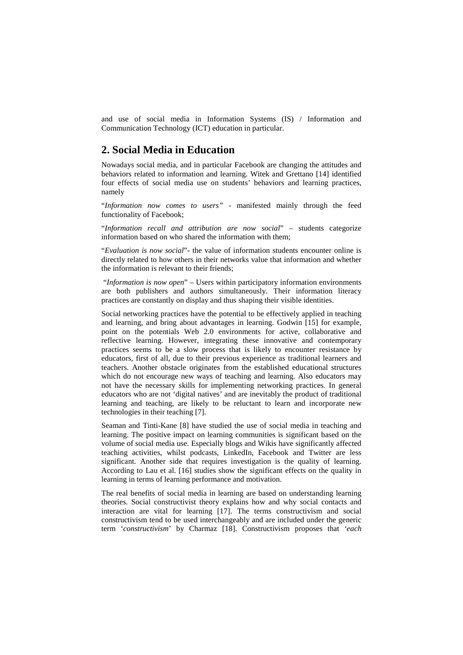and use of social media in Information Systems (IS) / Information and Communication Technology (ICT) education in particular.

### **2. Social Media in Education**

Nowadays social media, and in particular Facebook are changing the attitudes and behaviors related to information and learning. Witek and Grettano [14] identified four effects of social media use on students' behaviors and learning practices, namely

"*Information now comes to users"* - manifested mainly through the feed functionality of Facebook;

"*Information recall and attribution are now social*" – students categorize information based on who shared the information with them;

"*Evaluation is now social*"- the value of information students encounter online is directly related to how others in their networks value that information and whether the information is relevant to their friends;

"*Information is now open*" – Users within participatory information environments are both publishers and authors simultaneously. Their information literacy practices are constantly on display and thus shaping their visible identities.

Social networking practices have the potential to be effectively applied in teaching and learning, and bring about advantages in learning. Godwin [15] for example, point on the potentials Web 2.0 environments for active, collaborative and reflective learning. However, integrating these innovative and contemporary practices seems to be a slow process that is likely to encounter resistance by educators, first of all, due to their previous experience as traditional learners and teachers. Another obstacle originates from the established educational structures which do not encourage new ways of teaching and learning. Also educators may not have the necessary skills for implementing networking practices. In general educators who are not 'digital natives' and are inevitably the product of traditional learning and teaching, are likely to be reluctant to learn and incorporate new technologies in their teaching [7].

Seaman and Tinti-Kane [8] have studied the use of social media in teaching and learning. The positive impact on learning communities is significant based on the volume of social media use. Especially blogs and Wikis have significantly affected teaching activities, whilst podcasts, LinkedIn, Facebook and Twitter are less significant. Another side that requires investigation is the quality of learning. According to Lau et al. [16] studies show the significant effects on the quality in learning in terms of learning performance and motivation.

The real benefits of social media in learning are based on understanding learning theories. Social constructivist theory explains how and why social contacts and interaction are vital for learning [17]. The terms constructivism and social constructivism tend to be used interchangeably and are included under the generic term '*constructivism*' by Charmaz [18]. Constructivism proposes that *'each*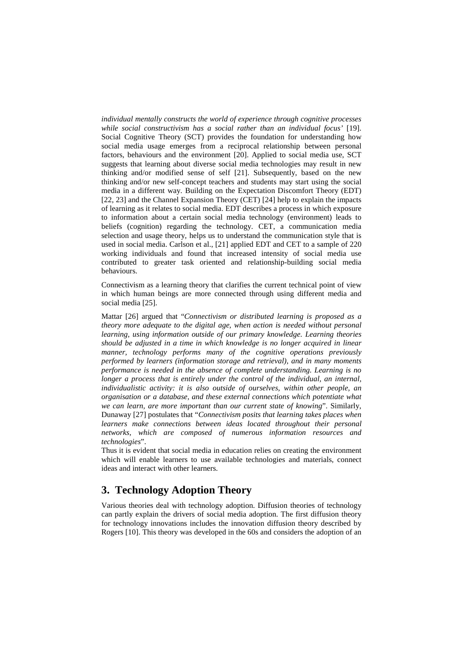*individual mentally constructs the world of experience through cognitive processes while social constructivism has a social rather than an individual focus'* [19]. Social Cognitive Theory (SCT) provides the foundation for understanding how social media usage emerges from a reciprocal relationship between personal factors, behaviours and the environment [20]. Applied to social media use, SCT suggests that learning about diverse social media technologies may result in new thinking and/or modified sense of self [21]. Subsequently, based on the new thinking and/or new self-concept teachers and students may start using the social media in a different way. Building on the Expectation Discomfort Theory (EDT) [22, 23] and the Channel Expansion Theory (CET) [24] help to explain the impacts of learning as it relates to social media. EDT describes a process in which exposure to information about a certain social media technology (environment) leads to beliefs (cognition) regarding the technology. CET, a communication media selection and usage theory, helps us to understand the communication style that is used in social media. Carlson et al., [21] applied EDT and CET to a sample of 220 working individuals and found that increased intensity of social media use contributed to greater task oriented and relationship-building social media behaviours.

Connectivism as a learning theory that clarifies the current technical point of view in which human beings are more connected through using different media and social media [25].

Mattar [26] argued that "*Connectivism or distributed learning is proposed as a theory more adequate to the digital age, when action is needed without personal learning, using information outside of our primary knowledge. Learning theories should be adjusted in a time in which knowledge is no longer acquired in linear manner, technology performs many of the cognitive operations previously performed by learners (information storage and retrieval), and in many moments performance is needed in the absence of complete understanding. Learning is no longer a process that is entirely under the control of the individual, an internal, individualistic activity: it is also outside of ourselves, within other people, an organisation or a database, and these external connections which potentiate what we can learn, are more important than our current state of knowing*". Similarly, Dunaway [27] postulates that "*Connectivism posits that learning takes places when learners make connections between ideas located throughout their personal networks, which are composed of numerous information resources and technologies*".

Thus it is evident that social media in education relies on creating the environment which will enable learners to use available technologies and materials, connect ideas and interact with other learners.

# **3. Technology Adoption Theory**

Various theories deal with technology adoption. Diffusion theories of technology can partly explain the drivers of social media adoption. The first diffusion theory for technology innovations includes the innovation diffusion theory described by Rogers [10]. This theory was developed in the 60s and considers the adoption of an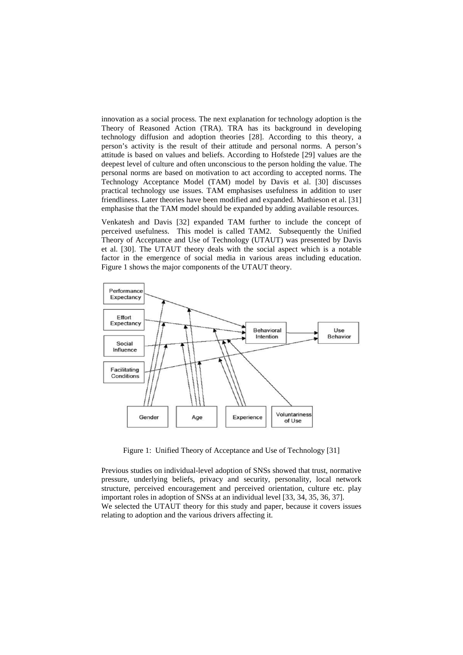innovation as a social process. The next explanation for technology adoption is the Theory of Reasoned Action (TRA). TRA has its background in developing technology diffusion and adoption theories [28]. According to this theory, a person's activity is the result of their attitude and personal norms. A person's attitude is based on values and beliefs. According to Hofstede [29] values are the deepest level of culture and often unconscious to the person holding the value. The personal norms are based on motivation to act according to accepted norms. The Technology Acceptance Model (TAM) model by Davis et al. [30] discusses practical technology use issues. TAM emphasises usefulness in addition to user friendliness. Later theories have been modified and expanded. Mathieson et al. [31] emphasise that the TAM model should be expanded by adding available resources.

Venkatesh and Davis [32] expanded TAM further to include the concept of perceived usefulness. This model is called TAM2. Subsequently the Unified Theory of Acceptance and Use of Technology (UTAUT) was presented by Davis et al. [30]. The UTAUT theory deals with the social aspect which is a notable factor in the emergence of social media in various areas including education. Figure 1 shows the major components of the UTAUT theory.



Figure 1: Unified Theory of Acceptance and Use of Technology [31]

Previous studies on individual-level adoption of SNSs showed that trust, normative pressure, underlying beliefs, privacy and security, personality, local network structure, perceived encouragement and perceived orientation, culture etc. play important roles in adoption of SNSs at an individual level [33, 34, 35, 36, 37]. We selected the UTAUT theory for this study and paper, because it covers issues relating to adoption and the various drivers affecting it.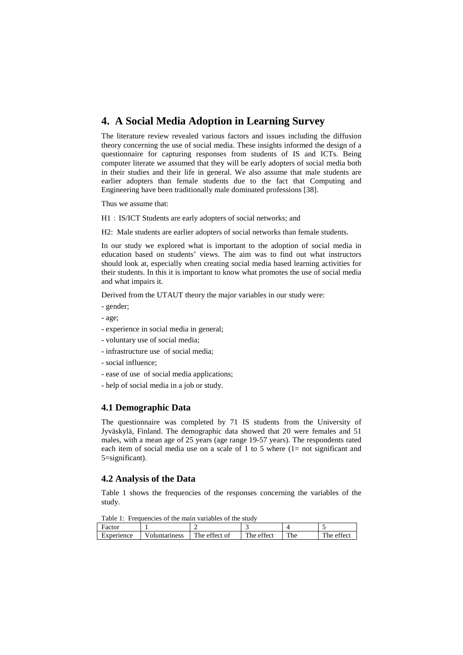# **4. A Social Media Adoption in Learning Survey**

The literature review revealed various factors and issues including the diffusion theory concerning the use of social media. These insights informed the design of a questionnaire for capturing responses from students of IS and ICTs. Being computer literate we assumed that they will be early adopters of social media both in their studies and their life in general. We also assume that male students are earlier adopters than female students due to the fact that Computing and Engineering have been traditionally male dominated professions [38].

Thus we assume that:

H1: IS/ICT Students are early adopters of social networks; and

H2: Male students are earlier adopters of social networks than female students.

In our study we explored what is important to the adoption of social media in education based on students' views. The aim was to find out what instructors should look at, especially when creating social media based learning activities for their students. In this it is important to know what promotes the use of social media and what impairs it.

Derived from the UTAUT theory the major variables in our study were:

- gender;
- age;
- experience in social media in general;
- voluntary use of social media;
- infrastructure use of social media;
- social influence;
- ease of use of social media applications;
- help of social media in a job or study.

#### **4.1 Demographic Data**

The questionnaire was completed by 71 IS students from the University of Jyväskylä, Finland. The demographic data showed that 20 were females and 51 males, with a mean age of 25 years (age range 19-57 years). The respondents rated each item of social media use on a scale of 1 to 5 where (1= not significant and 5=significant).

### **4.2 Analysis of the Data**

Table 1 shows the frequencies of the responses concerning the variables of the study.

Table 1: Frequencies of the main variables of the study

| Factor     |               |               |            |            |                   |
|------------|---------------|---------------|------------|------------|-------------------|
| Experience | 'oluntarıness | The effect of | The effect | m<br>r pel | T11<br>. he ettec |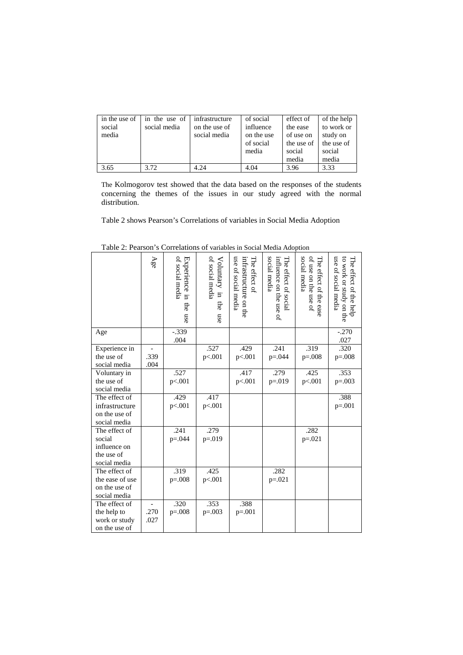| in the use of 1 | in the use of | infrastructure | of social  | effect of                         | of the help |
|-----------------|---------------|----------------|------------|-----------------------------------|-------------|
| social          | social media  | on the use of  | influence  | the ease                          | to work or  |
| media           |               | social media   | on the use | of use on                         | study on    |
|                 |               |                | of social  | the use of $\parallel$ the use of |             |
|                 |               |                | media      | social                            | social      |
|                 |               |                |            | media                             | media       |
| 3.65            | 3.72          | 4.24           | 4.04       | 3.96                              | 3.33        |

The Kolmogorov test showed that the data based on the responses of the students concerning the themes of the issues in our study agreed with the normal distribution.

Table 2 shows Pearson's Correlations of variables in Social Media Adoption

|                 | Age  | of social media<br>Experience in the use | of social media<br>Voluntary in<br>the<br>nse | use of social media<br>The effect of<br>infrastructure on the | social media<br>The effect of social<br>influence on the use of | social media<br>of use on the use of<br>The effect of the ease | use of social media<br>to work or study on the<br>The effect of the help |
|-----------------|------|------------------------------------------|-----------------------------------------------|---------------------------------------------------------------|-----------------------------------------------------------------|----------------------------------------------------------------|--------------------------------------------------------------------------|
| Age             |      | $-.339$<br>.004                          |                                               |                                                               |                                                                 |                                                                | $-.270$<br>.027                                                          |
| Experience in   |      |                                          | .527                                          | .429                                                          | .241                                                            | .319                                                           | .320                                                                     |
| the use of      | .339 |                                          | p<.001                                        | p<.001                                                        | $p = 0.044$                                                     | $p=.008$                                                       | $p=.008$                                                                 |
| social media    | .004 |                                          |                                               |                                                               |                                                                 |                                                                |                                                                          |
| Voluntary in    |      | .527                                     |                                               | .417                                                          | .279                                                            | .425                                                           | .353                                                                     |
| the use of      |      | p<.001                                   |                                               | p<.001                                                        | $p = 0.019$                                                     | p<.001                                                         | $p=.003$                                                                 |
| social media    |      |                                          |                                               |                                                               |                                                                 |                                                                |                                                                          |
| The effect of   |      | .429                                     | .417                                          |                                                               |                                                                 |                                                                | .388                                                                     |
| infrastructure  |      | p<.001                                   | p<.001                                        |                                                               |                                                                 |                                                                | $p=.001$                                                                 |
| on the use of   |      |                                          |                                               |                                                               |                                                                 |                                                                |                                                                          |
| social media    |      |                                          |                                               |                                                               |                                                                 |                                                                |                                                                          |
| The effect of   |      | .241                                     | .279                                          |                                                               |                                                                 | .282                                                           |                                                                          |
| social          |      | $p = 0.044$                              | $p = 019$                                     |                                                               |                                                                 | $p=.021$                                                       |                                                                          |
| influence on    |      |                                          |                                               |                                                               |                                                                 |                                                                |                                                                          |
| the use of      |      |                                          |                                               |                                                               |                                                                 |                                                                |                                                                          |
| social media    |      |                                          |                                               |                                                               |                                                                 |                                                                |                                                                          |
| The effect of   |      | .319                                     | .425                                          |                                                               | .282                                                            |                                                                |                                                                          |
| the ease of use |      | $p = 0.008$                              | p<.001                                        |                                                               | $p=.021$                                                        |                                                                |                                                                          |
| on the use of   |      |                                          |                                               |                                                               |                                                                 |                                                                |                                                                          |
| social media    |      |                                          |                                               |                                                               |                                                                 |                                                                |                                                                          |
| The effect of   |      | .320                                     | .353                                          | .388                                                          |                                                                 |                                                                |                                                                          |
| the help to     | .270 | $p=.008$                                 | $p=.003$                                      | $p=.001$                                                      |                                                                 |                                                                |                                                                          |
| work or study   | .027 |                                          |                                               |                                                               |                                                                 |                                                                |                                                                          |
| on the use of   |      |                                          |                                               |                                                               |                                                                 |                                                                |                                                                          |

Table 2: Pearson's Correlations of variables in Social Media Adoption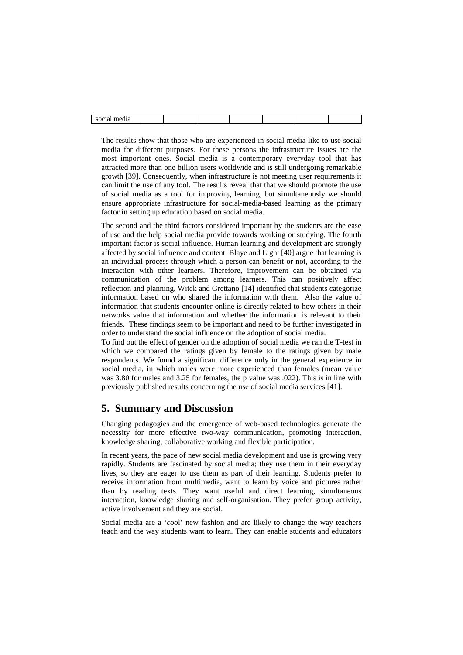| 1.00000<br>med <sub>1</sub> a<br>хостат<br>. |  |  |  |  |
|----------------------------------------------|--|--|--|--|

The results show that those who are experienced in social media like to use social media for different purposes. For these persons the infrastructure issues are the most important ones. Social media is a contemporary everyday tool that has attracted more than one billion users worldwide and is still undergoing remarkable growth [39]. Consequently, when infrastructure is not meeting user requirements it can limit the use of any tool. The results reveal that that we should promote the use of social media as a tool for improving learning, but simultaneously we should ensure appropriate infrastructure for social-media-based learning as the primary factor in setting up education based on social media.

The second and the third factors considered important by the students are the ease of use and the help social media provide towards working or studying. The fourth important factor is social influence. Human learning and development are strongly affected by social influence and content. Blaye and Light [40] argue that learning is an individual process through which a person can benefit or not, according to the interaction with other learners. Therefore, improvement can be obtained via communication of the problem among learners. This can positively affect reflection and planning. Witek and Grettano [14] identified that students categorize information based on who shared the information with them. Also the value of information that students encounter online is directly related to how others in their networks value that information and whether the information is relevant to their friends. These findings seem to be important and need to be further investigated in order to understand the social influence on the adoption of social media.

To find out the effect of gender on the adoption of social media we ran the T-test in which we compared the ratings given by female to the ratings given by male respondents. We found a significant difference only in the general experience in social media, in which males were more experienced than females (mean value was 3.80 for males and 3.25 for females, the p value was .022). This is in line with previously published results concerning the use of social media services [41].

# **5. Summary and Discussion**

Changing pedagogies and the emergence of web-based technologies generate the necessity for more effective two-way communication, promoting interaction, knowledge sharing, collaborative working and flexible participation.

In recent years, the pace of new social media development and use is growing very rapidly. Students are fascinated by social media; they use them in their everyday lives, so they are eager to use them as part of their learning. Students prefer to receive information from multimedia, want to learn by voice and pictures rather than by reading texts. They want useful and direct learning, simultaneous interaction, knowledge sharing and self-organisation. They prefer group activity, active involvement and they are social.

Social media are a '*coo*l' new fashion and are likely to change the way teachers teach and the way students want to learn. They can enable students and educators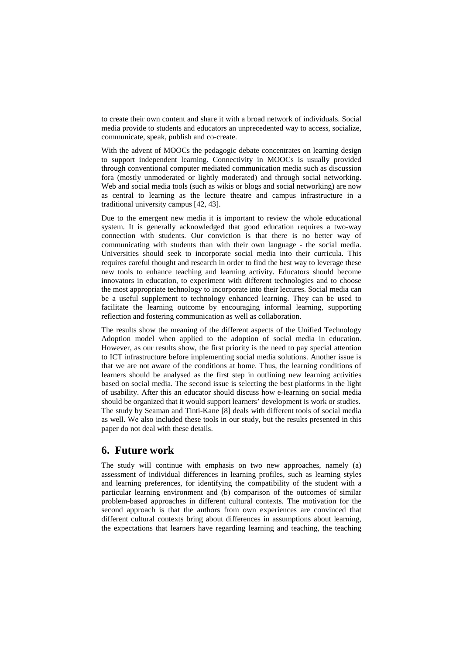to create their own content and share it with a broad network of individuals. Social media provide to students and educators an unprecedented way to access, socialize, communicate, speak, publish and co-create.

With the advent of MOOCs the pedagogic debate concentrates on learning design to support independent learning. Connectivity in MOOCs is usually provided through conventional computer mediated communication media such as discussion fora (mostly unmoderated or lightly moderated) and through social networking. Web and social media tools (such as wikis or blogs and social networking) are now as central to learning as the lecture theatre and campus infrastructure in a traditional university campus [42, 43].

Due to the emergent new media it is important to review the whole educational system. It is generally acknowledged that good education requires a two-way connection with students. Our conviction is that there is no better way of communicating with students than with their own language - the social media. Universities should seek to incorporate social media into their curricula. This requires careful thought and research in order to find the best way to leverage these new tools to enhance teaching and learning activity. Educators should become innovators in education, to experiment with different technologies and to choose the most appropriate technology to incorporate into their lectures. Social media can be a useful supplement to technology enhanced learning. They can be used to facilitate the learning outcome by encouraging informal learning, supporting reflection and fostering communication as well as collaboration.

The results show the meaning of the different aspects of the Unified Technology Adoption model when applied to the adoption of social media in education. However, as our results show, the first priority is the need to pay special attention to ICT infrastructure before implementing social media solutions. Another issue is that we are not aware of the conditions at home. Thus, the learning conditions of learners should be analysed as the first step in outlining new learning activities based on social media. The second issue is selecting the best platforms in the light of usability. After this an educator should discuss how e-learning on social media should be organized that it would support learners' development is work or studies. The study by Seaman and Tinti-Kane [8] deals with different tools of social media as well. We also included these tools in our study, but the results presented in this paper do not deal with these details.

### **6. Future work**

The study will continue with emphasis on two new approaches, namely (a) assessment of individual differences in learning profiles, such as learning styles and learning preferences, for identifying the compatibility of the student with a particular learning environment and (b) comparison of the outcomes of similar problem-based approaches in different cultural contexts. The motivation for the second approach is that the authors from own experiences are convinced that different cultural contexts bring about differences in assumptions about learning, the expectations that learners have regarding learning and teaching, the teaching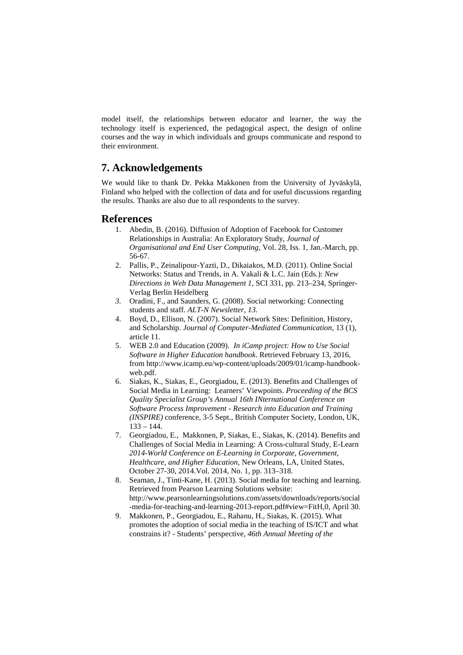model itself, the relationships between educator and learner, the way the technology itself is experienced, the pedagogical aspect, the design of online courses and the way in which individuals and groups communicate and respond to their environment.

## **7. Acknowledgements**

We would like to thank Dr. Pekka Makkonen from the University of Jyväskylä, Finland who helped with the collection of data and for useful discussions regarding the results. Thanks are also due to all respondents to the survey.

#### **References**

- 1. Abedin, B. (2016). Diffusion of Adoption of Facebook for Customer Relationships in Australia: An Exploratory Study, *Journal of Organisational and End User Computing*, Vol. 28, Iss. 1, Jan.-March, pp. 56-67.
- 2. Pallis, P., Zeinalipour-Yazti, D., Dikaiakos, M.D. (2011). Online Social Networks: Status and Trends, in A. Vakali & L.C. Jain (Eds.): *New Directions in Web Data Management 1*, SCI 331, pp. 213–234, Springer-Verlag Berlin Heidelberg
- *3.* Oradini, F., and Saunders, G. (2008). Social networking: Connecting students and staff. *ALT-N Newsletter, 13.*
- 4. Boyd, D., Ellison, N. (2007). [Social Network Sites: Definition, History,](http://jcmc.indiana.edu/vol13/issue1/boyd.ellison.html)  [and Scholarship.](http://jcmc.indiana.edu/vol13/issue1/boyd.ellison.html) *Journal of Computer-Mediated Communication,* 13 (1), article 11.
- 5. WEB 2.0 and Education (2009). *In iCamp project: How to Use Social Software in Higher Education handbook*. Retrieved February 13, 2016, from http://www.icamp.eu/wp-content/uploads/2009/01/icamp-handbookweb.pdf.
- 6. Siakas, K., Siakas, E., Georgiadou, E. (2013). Benefits and Challenges of Social Media in Learning: Learners' Viewpoints. *Proceeding of the BCS Quality Specialist Group's Annual 16th INternational Conference on Software Process Improvement - Research into Education and Training (INSPIRE)* conference, 3-5 Sept., British Computer Society, London, UK,  $133 - 144.$
- 7. Georgiadou, E., Makkonen, P, Siakas, E., Siakas, K. (2014). Benefits and Challenges of Social Media in Learning: A Cross-cultural Study, E-Learn *2014-World Conference on E-Learning in Corporate, Government, Healthcare, and Higher Education*, New Orleans, LA, United States, October 27-30, 2014.Vol. 2014, No. 1, pp. 313–318.
- 8. Seaman, J., Tinti-Kane, H. (2013). Social media for teaching and learning. Retrieved from Pearson Learning Solutions website: http://www.pearsonlearningsolutions.com/assets/downloads/reports/social -media-for-teaching-and-learning-2013-report.pdf#view=FitH,0, April 30.
- 9. Makkonen, P., Georgiadou, E., Rahanu, H., Siakas, K. (2015). What promotes the adoption of social media in the teaching of IS/ICT and what constrains it? - Students' perspective, *46th Annual Meeting of the*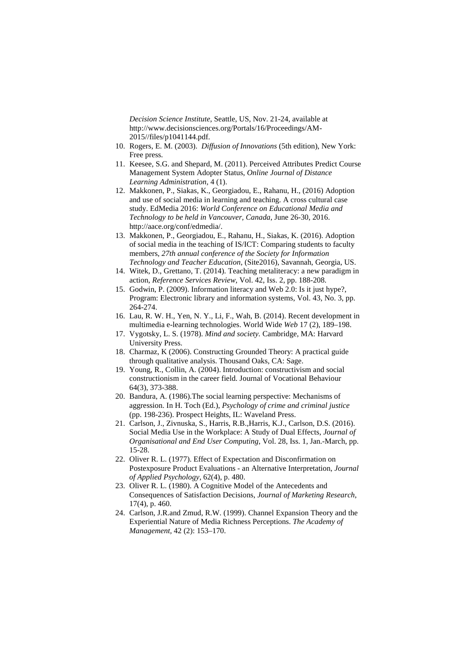*Decision Science Institute*, Seattle, US, Nov. 21-24, available at http://www.decisionsciences.org/Portals/16/Proceedings/AM-2015//files/p1041144.pdf.

- 10. Rogers, E. M. (2003). *Diffusion of Innovations* (5th edition), New York: Free press.
- 11. Keesee, S.G. and Shepard, M. (2011). Perceived Attributes Predict Course Management System Adopter Status, *Online Journal of Distance Learning Administration,* 4 (1).
- 12. Makkonen, P., Siakas, K., Georgiadou, E., Rahanu, H., (2016) Adoption and use of social media in learning and teaching. A cross cultural case study. EdMedia 2016: *World Conference on Educational Media and Technology to be held in Vancouver, Canada*, June 26-30, 2016. http://aace.org/conf/edmedia/.
- 13. Makkonen, P., Georgiadou, E., Rahanu, H., Siakas, K. (2016). Adoption of social media in the teaching of IS/ICT: Comparing students to faculty members, *27th annual conference of the Society for Information Technology and Teacher Education*, (Site2016), Savannah, Georgia, US.
- 14. Witek, D., Grettano, T. (2014). Teaching metaliteracy: a new paradigm in action, *Reference Services Review*, Vol. 42, Iss. 2, pp. 188-208.
- 15. Godwin, P. (2009). Information literacy and Web 2.0: Is it just hype?, Program: Electronic library and information systems, Vol. 43, No. 3, pp. 264-274.
- 16. Lau, R. W. H., Yen, N. Y., Li, F., Wah, B. (2014). Recent development in multimedia e-learning technologies. World Wide *Web* 17 (2), 189–198.
- 17. Vygotsky, L. S. (1978). *Mind and society.* Cambridge, MA: Harvard University Press.
- 18. Charmaz, K (2006). Constructing Grounded Theory: A practical guide through qualitative analysis. Thousand Oaks, CA: Sage.
- 19. Young, R., Collin, A. (2004). Introduction: constructivism and social constructionism in the career field. Journal of Vocational Behaviour 64(3), 373-388.
- 20. Bandura, A. (1986).The social learning perspective: Mechanisms of aggression. In H. Toch (Ed.), *Psychology of crime and criminal justice* (pp. 198-236). Prospect Heights, IL: Waveland Press.
- 21. Carlson, J., Zivnuska, S., Harris, R.B.,Harris, K.J., Carlson, D.S. (2016). Social Media Use in the Workplace: A Study of Dual Effects, *Journal of Organisational and End User Computing*, Vol. 28, Iss. 1, Jan.-March, pp. 15-28.
- 22. Oliver R. L. (1977). Effect of Expectation and Disconfirmation on Postexposure Product Evaluations - an Alternative Interpretation, *Journal of Applied Psychology*, 62(4), p. 480.
- 23. Oliver R. L. (1980). A Cognitive Model of the Antecedents and Consequences of Satisfaction Decisions, *Journal of Marketing Research*, 17(4), p. 460.
- 24. Carlson, J.R.and Zmud, R.W. (1999). Channel Expansion Theory and the Experiential Nature of Media Richness Perceptions. *The Academy of Management,* 42 (2): 153–170.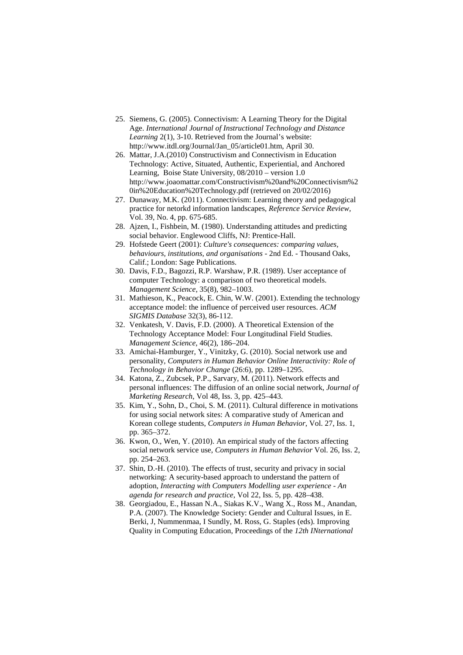- 25. Siemens, G. (2005). Connectivism: A Learning Theory for the Digital Age. *International Journal of Instructional Technology and Distance Learning* 2(1), 3-10. Retrieved from the Journal's website: http://www.itdl.org/Journal/Jan\_05/article01.htm, April 30.
- 26. Mattar, J.A.(2010) Constructivism and Connectivism in Education Technology: Active, Situated, Authentic, Experiential, and Anchored Learning, Boise State University, 08/2010 – version 1.0 [http://www.joaomattar.com/Constructivism%20and%20Connectivism%2](http://www.joaomattar.com/Constructivism%20and%20Connectivism%20in%20Education%20Technology.pdf) [0in%20Education%20Technology.pdf](http://www.joaomattar.com/Constructivism%20and%20Connectivism%20in%20Education%20Technology.pdf) (retrieved on 20/02/2016)
- 27. Dunaway, M.K. (2011). Connectivism: Learning theory and pedagogical practice for netorkd information landscapes, *Reference Service Review,*  Vol. 39, No. 4, pp. 675-685.
- 28. Ajzen, I., Fishbein, M. (1980). Understanding attitudes and predicting social behavior. Englewood Cliffs, NJ: Prentice-Hall.
- 29. Hofstede Geert (2001): *Culture's consequences: comparing values, behaviours, institutions, and organisations* - 2nd Ed. - Thousand Oaks, Calif.; London: Sage Publications.
- 30. Davis, F.D., Bagozzi, R.P. Warshaw, P.R. (1989). User acceptance of computer Technology: a comparison of two theoretical models. *Management Science*, 35(8), 982–1003.
- 31. Mathieson, K., Peacock, E. Chin, W.W. (2001). Extending the technology acceptance model: the influence of perceived user resources. *ACM SIGMIS Database* 32(3), 86-112.
- 32. Venkatesh, V. Davis, F.D. (2000). A Theoretical Extension of the Technology Acceptance Model: Four Longitudinal Field Studies. *Management Science*, 46(2), 186–204.
- 33. Amichai-Hamburger, Y., Vinitzky, G. (2010). Social network use and personality, *Computers in Human Behavior Online Interactivity: Role of Technology in Behavior Change* (26:6), pp. 1289–1295.
- 34. Katona, Z., Zubcsek, P.P., Sarvary, M. (2011). Network effects and personal influences: The diffusion of an online social network, *Journal of Marketing Research*, Vol 48, Iss. 3, pp. 425–443.
- 35. Kim, Y., Sohn, D., Choi, S. M. (2011). Cultural difference in motivations for using social network sites: A comparative study of American and Korean college students, *Computers in Human Behavior*, Vol. 27, Iss. 1, pp. 365–372.
- 36. Kwon, O., Wen, Y. (2010). An empirical study of the factors affecting social network service use, *Computers in Human Behavior* Vol. 26, Iss. 2, pp. 254–263.
- 37. Shin, D.-H. (2010). The effects of trust, security and privacy in social networking: A security-based approach to understand the pattern of adoption, *Interacting with Computers Modelling user experience - An agenda for research and practice*, Vol 22, Iss. 5, pp. 428–438.
- 38. Georgiadou, E., Hassan N.A., Siakas K.V., Wang X., Ross M., Anandan, P.A. (2007). The Knowledge Society: Gender and Cultural Issues, in E. Berki, J, Nummenmaa, I Sundly, M. Ross, G. Staples (eds). Improving Quality in Computing Education, Proceedings of the *12th INternational*